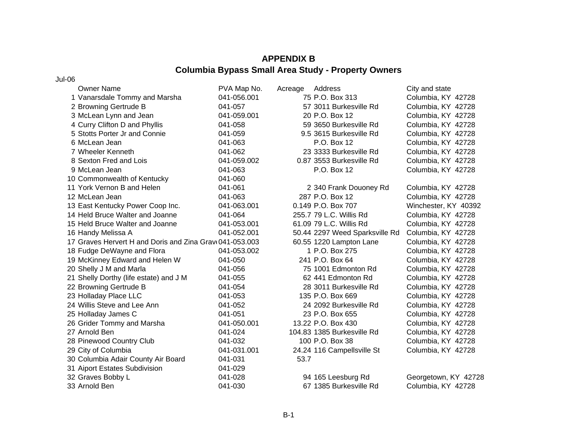## **APPENDIX BColumbia Bypass Small Area Study - Property Owners**

Jul-06

| <b>Owner Name</b>                                       | PVA Map No. | Acreage | Address                        | City and state       |
|---------------------------------------------------------|-------------|---------|--------------------------------|----------------------|
| 1 Vanarsdale Tommy and Marsha                           | 041-056.001 |         | 75 P.O. Box 313                | Columbia, KY 42728   |
| 2 Browning Gertrude B                                   | 041-057     |         | 57 3011 Burkesville Rd         | Columbia, KY 42728   |
| 3 McLean Lynn and Jean                                  | 041-059.001 |         | 20 P.O. Box 12                 | Columbia, KY 42728   |
| 4 Curry Clifton D and Phyllis                           | 041-058     |         | 59 3650 Burkesville Rd         | Columbia, KY 42728   |
| 5 Stotts Porter Jr and Connie                           | 041-059     |         | 9.5 3615 Burkesville Rd        | Columbia, KY 42728   |
| 6 McLean Jean                                           | 041-063     |         | P.O. Box 12                    | Columbia, KY 42728   |
| 7 Wheeler Kenneth                                       | 041-062     |         | 23 3333 Burkesville Rd         | Columbia, KY 42728   |
| 8 Sexton Fred and Lois                                  | 041-059.002 |         | 0.87 3553 Burkesville Rd       | Columbia, KY 42728   |
| 9 McLean Jean                                           | 041-063     |         | P.O. Box 12                    | Columbia, KY 42728   |
| 10 Commonwealth of Kentucky                             | 041-060     |         |                                |                      |
| 11 York Vernon B and Helen                              | 041-061     |         | 2 340 Frank Douoney Rd         | Columbia, KY 42728   |
| 12 McLean Jean                                          | 041-063     |         | 287 P.O. Box 12                | Columbia, KY 42728   |
| 13 East Kentucky Power Coop Inc.                        | 041-063.001 |         | 0.149 P.O. Box 707             | Winchester, KY 40392 |
| 14 Held Bruce Walter and Joanne                         | 041-064     |         | 255.7 79 L.C. Willis Rd        | Columbia, KY 42728   |
| 15 Held Bruce Walter and Joanne                         | 041-053.001 |         | 61.09 79 L.C. Willis Rd        | Columbia, KY 42728   |
| 16 Handy Melissa A                                      | 041-052.001 |         | 50.44 2297 Weed Sparksville Rd | Columbia, KY 42728   |
| 17 Graves Hervert H and Doris and Zina Grav 041-053.003 |             |         | 60.55 1220 Lampton Lane        | Columbia, KY 42728   |
| 18 Fudge DeWayne and Flora                              | 041-053.002 |         | 1 P.O. Box 275                 | Columbia, KY 42728   |
| 19 McKinney Edward and Helen W                          | 041-050     |         | 241 P.O. Box 64                | Columbia, KY 42728   |
| 20 Shelly J M and Marla                                 | 041-056     |         | 75 1001 Edmonton Rd            | Columbia, KY 42728   |
| 21 Shelly Dorthy (life estate) and J M                  | 041-055     |         | 62 441 Edmonton Rd             | Columbia, KY 42728   |
| 22 Browning Gertrude B                                  | 041-054     |         | 28 3011 Burkesville Rd         | Columbia, KY 42728   |
| 23 Holladay Place LLC                                   | 041-053     |         | 135 P.O. Box 669               | Columbia, KY 42728   |
| 24 Willis Steve and Lee Ann                             | 041-052     |         | 24 2092 Burkesville Rd         | Columbia, KY 42728   |
| 25 Holladay James C                                     | 041-051     |         | 23 P.O. Box 655                | Columbia, KY 42728   |
| 26 Grider Tommy and Marsha                              | 041-050.001 |         | 13.22 P.O. Box 430             | Columbia, KY 42728   |
| 27 Arnold Ben                                           | 041-024     |         | 104.83 1385 Burkesville Rd     | Columbia, KY 42728   |
| 28 Pinewood Country Club                                | 041-032     |         | 100 P.O. Box 38                | Columbia, KY 42728   |
| 29 City of Columbia                                     | 041-031.001 |         | 24.24 116 Campellsville St     | Columbia, KY 42728   |
| 30 Columbia Adair County Air Board                      | 041-031     | 53.7    |                                |                      |
| 31 Aiport Estates Subdivision                           | 041-029     |         |                                |                      |
| 32 Graves Bobby L                                       | 041-028     |         | 94 165 Leesburg Rd             | Georgetown, KY 42728 |
| 33 Arnold Ben                                           | 041-030     |         | 67 1385 Burkesville Rd         | Columbia, KY 42728   |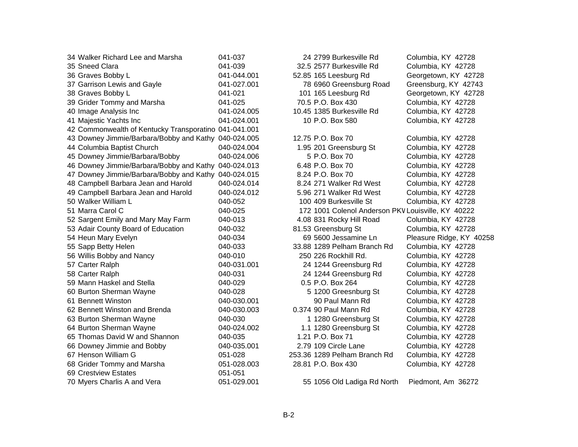| 34 Walker Richard Lee and Marsha                      | 041-037     | 24 2799 Burkesville Rd                             | Columbia, KY 42728    |
|-------------------------------------------------------|-------------|----------------------------------------------------|-----------------------|
| 35 Sneed Clara                                        | 041-039     | 32.5 2577 Burkesville Rd                           | Columbia, KY 42728    |
| 36 Graves Bobby L                                     | 041-044.001 | 52.85 165 Leesburg Rd                              | Georgetown, KY 4272   |
| 37 Garrison Lewis and Gayle                           | 041-027.001 | 78 6960 Greensburg Road                            | Greensburg, KY 4274   |
| 38 Graves Bobby L                                     | 041-021     | 101 165 Leesburg Rd                                | Georgetown, KY 4272   |
| 39 Grider Tommy and Marsha                            | 041-025     | 70.5 P.O. Box 430                                  | Columbia, KY 42728    |
| 40 Image Analysis Inc                                 | 041-024.005 | 10.45 1385 Burkesville Rd                          | Columbia, KY 42728    |
| 41 Majestic Yachts Inc                                | 041-024.001 | 10 P.O. Box 580                                    | Columbia, KY 42728    |
| 42 Commonwealth of Kentucky Transporatino 041-041.001 |             |                                                    |                       |
| 43 Downey Jimmie/Barbara/Bobby and Kathy 040-024.005  |             | 12.75 P.O. Box 70                                  | Columbia, KY 42728    |
| 44 Columbia Baptist Church                            | 040-024.004 | 1.95 201 Greensburg St                             | Columbia, KY 42728    |
| 45 Downey Jimmie/Barbara/Bobby                        | 040-024.006 | 5 P.O. Box 70                                      | Columbia, KY 42728    |
| 46 Downey Jimmie/Barbara/Bobby and Kathy 040-024.013  |             | 6.48 P.O. Box 70                                   | Columbia, KY 42728    |
| 47 Downey Jimmie/Barbara/Bobby and Kathy 040-024.015  |             | 8.24 P.O. Box 70                                   | Columbia, KY 42728    |
| 48 Campbell Barbara Jean and Harold                   | 040-024.014 | 8.24 271 Walker Rd West                            | Columbia, KY 42728    |
| 49 Campbell Barbara Jean and Harold                   | 040-024.012 | 5.96 271 Walker Rd West                            | Columbia, KY 42728    |
| 50 Walker William L                                   | 040-052     | 100 409 Burkesville St                             | Columbia, KY 42728    |
| 51 Marra Carol C                                      | 040-025     | 172 1001 Colenol Anderson PKV Louisville, KY 40222 |                       |
| 52 Sargent Emily and Mary May Farm                    | 040-013     | 4.08 831 Rocky Hill Road                           | Columbia, KY 42728    |
| 53 Adair County Board of Education                    | 040-032     | 81.53 Greensburg St                                | Columbia, KY 42728    |
| 54 Heun Mary Evelyn                                   | 040-034     | 69 5600 Jessamine Ln                               | Pleasure Ridge, KY 40 |
| 55 Sapp Betty Helen                                   | 040-033     | 33.88 1289 Pelham Branch Rd                        | Columbia, KY 42728    |
| 56 Willis Bobby and Nancy                             | 040-010     | 250 226 Rockhill Rd.                               | Columbia, KY 42728    |
| 57 Carter Ralph                                       | 040-031.001 | 24 1244 Greensburg Rd                              | Columbia, KY 42728    |
| 58 Carter Ralph                                       | 040-031     | 24 1244 Greensburg Rd                              | Columbia, KY 42728    |
| 59 Mann Haskel and Stella                             | 040-029     | 0.5 P.O. Box 264                                   | Columbia, KY 42728    |
| 60 Burton Sherman Wayne                               | 040-028     | 5 1200 Greesnburg St                               | Columbia, KY 42728    |
| 61 Bennett Winston                                    | 040-030.001 | 90 Paul Mann Rd                                    | Columbia, KY 42728    |
| 62 Bennett Winston and Brenda                         | 040-030.003 | 0.374 90 Paul Mann Rd                              | Columbia, KY 42728    |
| 63 Burton Sherman Wayne                               | 040-030     | 1 1280 Greensburg St                               | Columbia, KY 42728    |
| 64 Burton Sherman Wayne                               | 040-024.002 | 1.1 1280 Greensburg St                             | Columbia, KY 42728    |
| 65 Thomas David W and Shannon                         | 040-035     | 1.21 P.O. Box 71                                   | Columbia, KY 42728    |
| 66 Downey Jimmie and Bobby                            | 040-035.001 | 2.79 109 Circle Lane                               | Columbia, KY 42728    |
| 67 Henson William G                                   | 051-028     | 253.36 1289 Pelham Branch Rd                       | Columbia, KY 42728    |
| 68 Grider Tommy and Marsha                            | 051-028.003 | 28.81 P.O. Box 430                                 | Columbia, KY 42728    |
| 69 Crestview Estates                                  | 051-051     |                                                    |                       |
| 70 Myers Charlis A and Vera                           | 051-029.001 | 55 1056 Old Ladiga Rd North                        | Piedmont, Am 36272    |

24 2799 Burkesville Rd Columbia, KY 42728 32.5 2577 Burkesville Rd Columbia, KY 42728 52.85 165 Leesburg Rd Georgetown, KY 42728 78 6960 Greensburg Road Greensburg, KY 42743 101 165 Leesburg Rd Georgetown, KY 42728 70.5 P.O. Box 430 Columbia, KY 42728 10.45 1385 Burkesville Rd Columbia, KY 42728 10 P.O. Box 580 Columbia, KY 42728

12.75 P.O. Box 70 Columbia, KY 42728 1.95 201 Greensburg St Columbia, KY 42728 5 P.O. Box 70 Columbia, KY 42728 6.48 P.O. Box 70 Columbia, KY 42728 8.24 P.O. Box 70 Columbia, KY 42728 8.24 271 Walker Rd West Columbia, KY 42728 5.96 271 Walker Rd West Columbia, KY 42728 100 409 Burkesville St Columbia, KY 42728 4.08 831 Rocky Hill Road Columbia, KY 42728 81.53 Greensburg St Columbia, KY 42728 69 5600 Jessamine Ln Pleasure Ridge, KY 40258 33.88 1289 Pelham Branch Rd Columbia, KY 42728 250 226 Rockhill Rd. Columbia, KY 42728 24 1244 Greensburg Rd Columbia, KY 42728 24 1244 Greensburg Rd Columbia, KY 42728 0.5 P.O. Box 264 Columbia, KY 42728 5 1200 Greesnburg St Columbia, KY 42728 90 Paul Mann Rd Columbia, KY 42728 0.374 90 Paul Mann Rd Columbia, KY 42728 1 1280 Greensburg St Columbia, KY 42728 1.1 1280 Greensburg St Columbia, KY 42728 1.21 P.O. Box 71 Columbia, KY 42728 2.79 109 Circle Lane Columbia, KY 42728 253.36 1289 Pelham Branch Rd Columbia, KY 42728 28.81 P.O. Box 430 Columbia, KY 42728